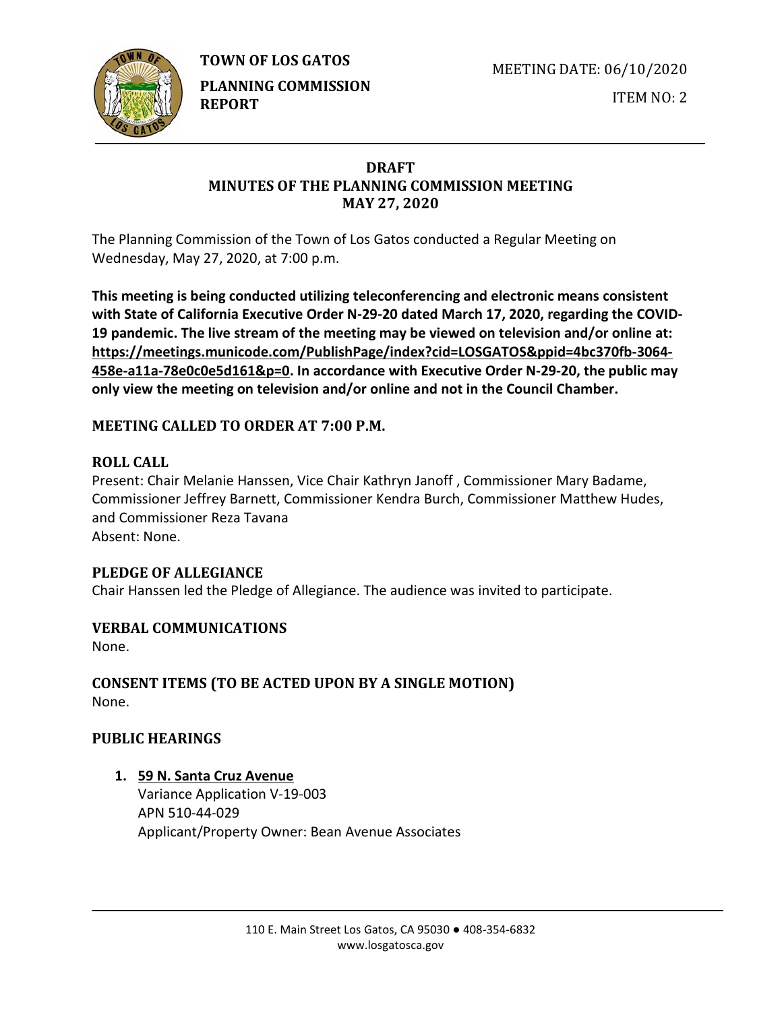**TOWN OF LOS GATOS** 



**PLANNING COMMISSION REPORT**

MEETING DATE: 06/10/2020

ITEM NO: 2

# **DRAFT MINUTES OF THE PLANNING COMMISSION MEETING MAY 27, 2020**

The Planning Commission of the Town of Los Gatos conducted a Regular Meeting on Wednesday, May 27, 2020, at 7:00 p.m.

**This meeting is being conducted utilizing teleconferencing and electronic means consistent with State of California Executive Order N-29-20 dated March 17, 2020, regarding the COVID-19 pandemic. The live stream of the meeting may be viewed on television and/or online at: https://meetings.municode.com/PublishPage/index?cid=LOSGATOS&ppid=4bc370fb-3064- 458e-a11a-78e0c0e5d161&p=0. In accordance with Executive Order N-29-20, the public may only view the meeting on television and/or online and not in the Council Chamber.**

# **MEETING CALLED TO ORDER AT 7:00 P.M.**

# **ROLL CALL**

Present: Chair Melanie Hanssen, Vice Chair Kathryn Janoff , Commissioner Mary Badame, Commissioner Jeffrey Barnett, Commissioner Kendra Burch, Commissioner Matthew Hudes, and Commissioner Reza Tavana Absent: None.

## **PLEDGE OF ALLEGIANCE**

Chair Hanssen led the Pledge of Allegiance. The audience was invited to participate.

# **VERBAL COMMUNICATIONS**

None.

**CONSENT ITEMS (TO BE ACTED UPON BY A SINGLE MOTION)** None.

## **PUBLIC HEARINGS**

**1. 59 N. Santa Cruz Avenue**

Variance Application V-19-003 APN 510-44-029 Applicant/Property Owner: Bean Avenue Associates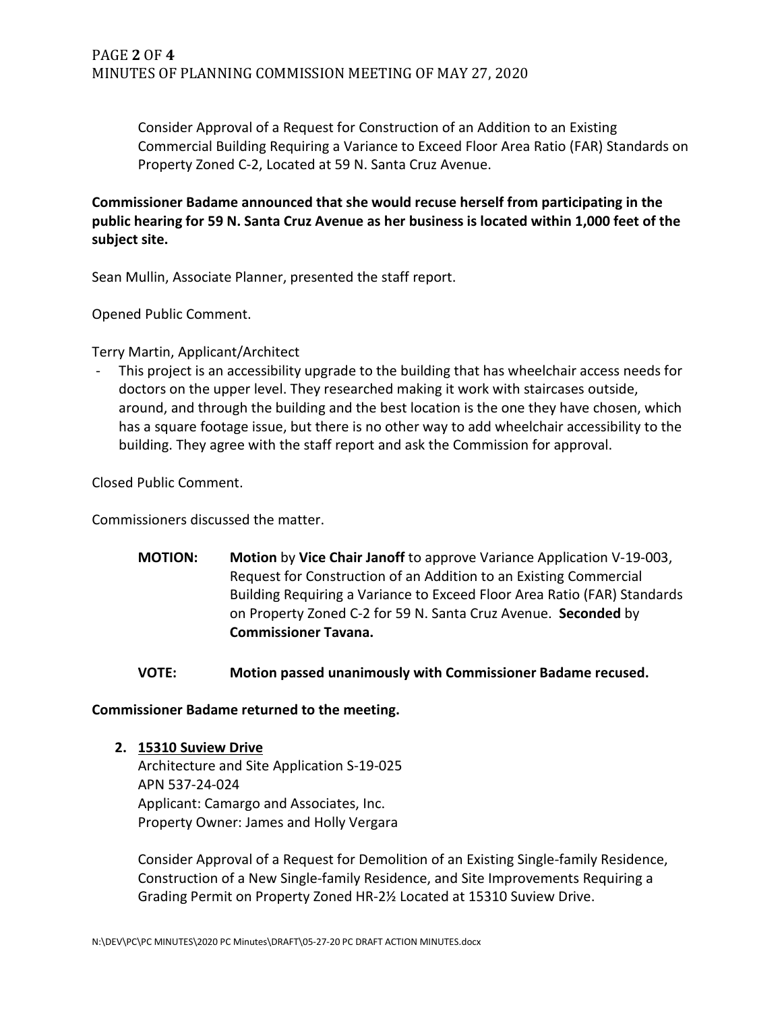Consider Approval of a Request for Construction of an Addition to an Existing Commercial Building Requiring a Variance to Exceed Floor Area Ratio (FAR) Standards on Property Zoned C-2, Located at 59 N. Santa Cruz Avenue.

**Commissioner Badame announced that she would recuse herself from participating in the public hearing for 59 N. Santa Cruz Avenue as her business is located within 1,000 feet of the subject site.** 

Sean Mullin, Associate Planner, presented the staff report.

Opened Public Comment.

Terry Martin, Applicant/Architect

This project is an accessibility upgrade to the building that has wheelchair access needs for doctors on the upper level. They researched making it work with staircases outside, around, and through the building and the best location is the one they have chosen, which has a square footage issue, but there is no other way to add wheelchair accessibility to the building. They agree with the staff report and ask the Commission for approval.

Closed Public Comment.

Commissioners discussed the matter.

**MOTION: Motion** by **Vice Chair Janoff** to approve Variance Application V-19-003, Request for Construction of an Addition to an Existing Commercial Building Requiring a Variance to Exceed Floor Area Ratio (FAR) Standards on Property Zoned C-2 for 59 N. Santa Cruz Avenue. **Seconded** by **Commissioner Tavana.** 

#### **VOTE: Motion passed unanimously with Commissioner Badame recused.**

**Commissioner Badame returned to the meeting.**

**2. 15310 Suview Drive**

Architecture and Site Application S-19-025 APN 537-24-024 Applicant: Camargo and Associates, Inc. Property Owner: James and Holly Vergara

Consider Approval of a Request for Demolition of an Existing Single-family Residence, Construction of a New Single-family Residence, and Site Improvements Requiring a Grading Permit on Property Zoned HR-2½ Located at 15310 Suview Drive.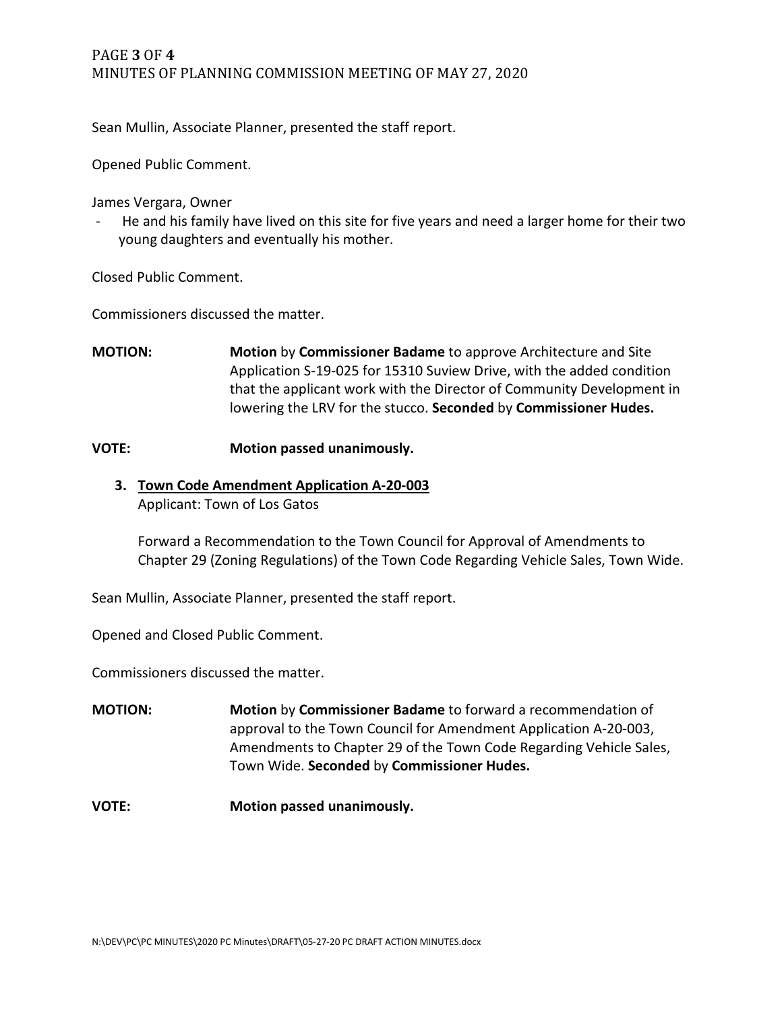## PAGE **3** OF **4** MINUTES OF PLANNING COMMISSION MEETING OF MAY 27, 2020

Sean Mullin, Associate Planner, presented the staff report.

Opened Public Comment.

James Vergara, Owner

He and his family have lived on this site for five years and need a larger home for their two young daughters and eventually his mother.

Closed Public Comment.

Commissioners discussed the matter.

**MOTION: Motion** by **Commissioner Badame** to approve Architecture and Site Application S-19-025 for 15310 Suview Drive, with the added condition that the applicant work with the Director of Community Development in lowering the LRV for the stucco. **Seconded** by **Commissioner Hudes.**

#### **VOTE: Motion passed unanimously.**

**3. Town Code Amendment Application A-20-003** Applicant: Town of Los Gatos

Forward a Recommendation to the Town Council for Approval of Amendments to Chapter 29 (Zoning Regulations) of the Town Code Regarding Vehicle Sales, Town Wide.

Sean Mullin, Associate Planner, presented the staff report.

Opened and Closed Public Comment.

Commissioners discussed the matter.

**MOTION: Motion** by **Commissioner Badame** to forward a recommendation of approval to the Town Council for Amendment Application A-20-003, Amendments to Chapter 29 of the Town Code Regarding Vehicle Sales, Town Wide. **Seconded** by **Commissioner Hudes.**

**VOTE: Motion passed unanimously.**